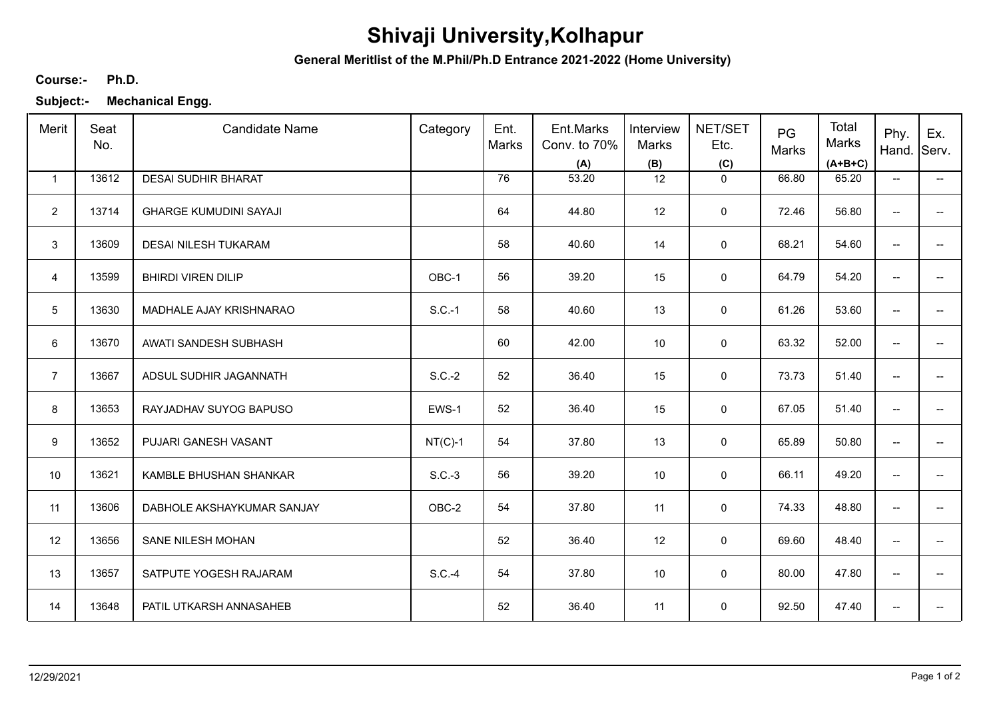## **Shivaji University,Kolhapur**

**General Meritlist of the M.Phil/Ph.D Entrance 2021-2022 (Home University)**

## **Ph.D. Course:-**

**Subject:- Mechanical Engg.**

| Merit            | Seat<br>No. | <b>Candidate Name</b>         | Category  | Ent.<br><b>Marks</b> | Ent.Marks<br>Conv. to 70%<br>(A) | Interview<br>Marks<br>(B) | NET/SET<br>Etc.<br>(C) | PG<br>Marks | Total<br>Marks<br>$(A+B+C)$ | Phy.<br>Hand.            | Ex.<br>Serv.             |
|------------------|-------------|-------------------------------|-----------|----------------------|----------------------------------|---------------------------|------------------------|-------------|-----------------------------|--------------------------|--------------------------|
| $\mathbf{1}$     | 13612       | <b>DESAI SUDHIR BHARAT</b>    |           | 76                   | 53.20                            | 12                        | $\mathbf{0}$           | 66.80       | 65.20                       | $\overline{\phantom{a}}$ | $\overline{\phantom{a}}$ |
| $\overline{2}$   | 13714       | <b>GHARGE KUMUDINI SAYAJI</b> |           | 64                   | 44.80                            | 12                        | $\mathbf 0$            | 72.46       | 56.80                       | $\overline{\phantom{a}}$ | --                       |
| 3                | 13609       | <b>DESAI NILESH TUKARAM</b>   |           | 58                   | 40.60                            | 14                        | 0                      | 68.21       | 54.60                       | $\overline{\phantom{a}}$ | --                       |
| 4                | 13599       | <b>BHIRDI VIREN DILIP</b>     | OBC-1     | 56                   | 39.20                            | 15                        | 0                      | 64.79       | 54.20                       | $\overline{\phantom{a}}$ | --                       |
| $5\phantom{.0}$  | 13630       | MADHALE AJAY KRISHNARAO       | $S.C.-1$  | 58                   | 40.60                            | 13                        | 0                      | 61.26       | 53.60                       | $\overline{\phantom{a}}$ | $\overline{\phantom{a}}$ |
| 6                | 13670       | AWATI SANDESH SUBHASH         |           | 60                   | 42.00                            | 10                        | 0                      | 63.32       | 52.00                       | $\overline{\phantom{m}}$ | $\overline{\phantom{a}}$ |
| $\overline{7}$   | 13667       | ADSUL SUDHIR JAGANNATH        | $S.C.-2$  | 52                   | 36.40                            | 15                        | $\mathbf 0$            | 73.73       | 51.40                       | $\overline{\phantom{m}}$ | --                       |
| 8                | 13653       | RAYJADHAV SUYOG BAPUSO        | EWS-1     | 52                   | 36.40                            | 15                        | 0                      | 67.05       | 51.40                       | $\overline{\phantom{m}}$ |                          |
| $\boldsymbol{9}$ | 13652       | PUJARI GANESH VASANT          | $NT(C)-1$ | 54                   | 37.80                            | 13                        | 0                      | 65.89       | 50.80                       | $\overline{\phantom{a}}$ |                          |
| 10               | 13621       | KAMBLE BHUSHAN SHANKAR        | $S.C.-3$  | 56                   | 39.20                            | 10                        | 0                      | 66.11       | 49.20                       | $\overline{\phantom{a}}$ |                          |
| 11               | 13606       | DABHOLE AKSHAYKUMAR SANJAY    | OBC-2     | 54                   | 37.80                            | 11                        | $\mathbf 0$            | 74.33       | 48.80                       | ÷                        |                          |
| 12               | 13656       | SANE NILESH MOHAN             |           | 52                   | 36.40                            | 12                        | 0                      | 69.60       | 48.40                       | $\overline{\phantom{a}}$ | $\overline{\phantom{a}}$ |
| 13               | 13657       | SATPUTE YOGESH RAJARAM        | $S.C.-4$  | 54                   | 37.80                            | 10                        | 0                      | 80.00       | 47.80                       | $\overline{\phantom{a}}$ | $\overline{\phantom{a}}$ |
| 14               | 13648       | PATIL UTKARSH ANNASAHEB       |           | 52                   | 36.40                            | 11                        | 0                      | 92.50       | 47.40                       | $\overline{\phantom{a}}$ | --                       |